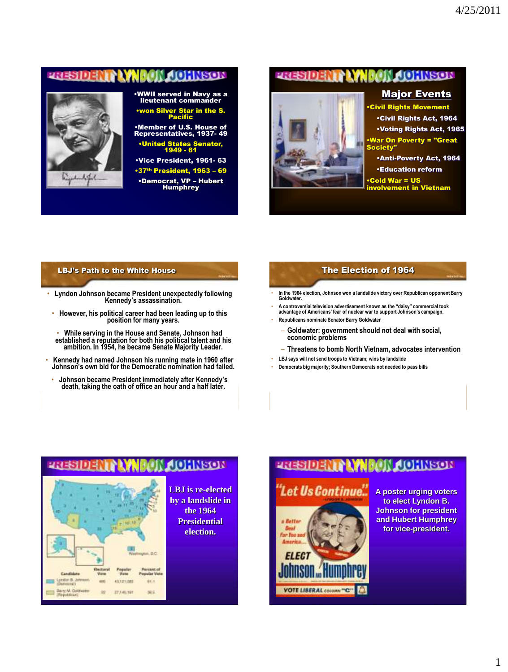### **NT LYNBON JOHNSON** 233103



# •WWII served in Navy as a lieutenant commander •won Silver Star in the S. Pacific

•Member of U.S. House of Representatives, 1937- 49

•United States Senator, 1949 - 61

•Vice President, 1961- 63

•37th President, 1963 - 69 •Democrat, VP – Hubert **Humphrey** 

# **PRESIDENT LYNGON CONSON**

### Major Events



•Civil Rights Movement •Civil Rights Act, 1964 •Voting Rights Act, 1965 •War On Poverty = "Great Society"

•Anti-Poverty Act, 1964

•Education reform

•Cold War = US **ivolvement in Vietnam** 

### LBJ's Path to the White House

- **Lyndon Johnson became President unexpectedly following Kennedy's assassination.**
- **However, his political career had been leading up to this position for many years.**
- **While serving in the House and Senate, Johnson had established a reputation for both his political talent and his ambition. In 1954, he became Senate Majority Leader.**
- **Kennedy had named Johnson his running mate in 1960 after Johnson's own bid for the Democratic nomination had failed.**
- **Johnson became President immediately after Kennedy's death, taking the oath of office an hour and a half later.**

### The Election of 1964

- **In the 1964 election, Johnson won a landslide victory over Republican opponent Barry Goldwater.**
- **A controversial television advertisement known as the "daisy" commercial took advantage of Americans' fear of nuclear war to support Johnson's campaign.** • **Republicans nominate Senator Barry Goldwater**
	- **Goldwater: government should not deal with social, economic problems**
	- **Threatens to bomb North Vietnam, advocates intervention**
- **LBJ says will not send troops to Vietnam; wins by landslide**
- **Democrats big majority; Southern Democrats not needed to pass bills**

### **MACHINEON** 235103

<span id="page-0-0"></span>

**LBJ is re-elected by a landslide in the 1964 Presidential election.**

# **THESIDENT ANNEON AQUINSON**



**A poster urging voters to elect Lyndon B. Johnson for president and Hubert Humphrey for vice-president.**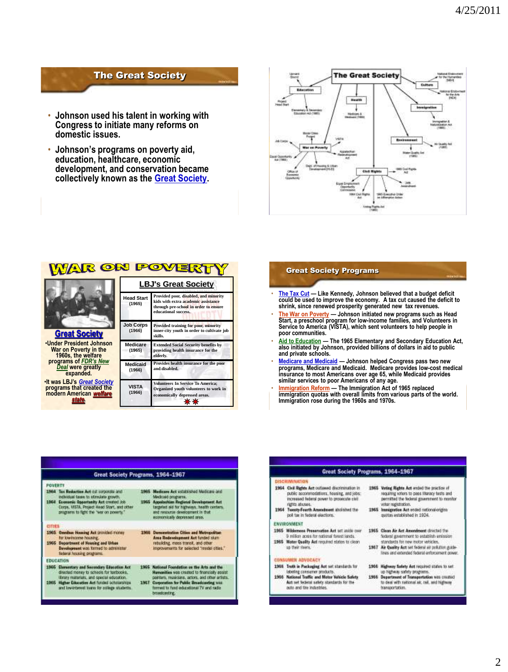# The Great Society

- **Johnson used his talent in working with Congress to initiate many reforms on domestic issues.**
- **Johnson's programs on poverty aid, education, healthcare, economic development, and conservation became collectively known as the Great Society.**



| WAR ON PO<br>YEK                                                                              |                             |                                                                                                                                               |  |  |
|-----------------------------------------------------------------------------------------------|-----------------------------|-----------------------------------------------------------------------------------------------------------------------------------------------|--|--|
|                                                                                               | <b>LBJ's Great Society</b>  |                                                                                                                                               |  |  |
|                                                                                               | <b>Head Start</b><br>(1965) | Provided poor, disabled, and minority<br>kids with extra academic assistance<br>through pre-school in order to ensure<br>educational success. |  |  |
| <b>Great Society</b>                                                                          | <b>Job Corps</b><br>(1966)  | Provided training for poor, minority<br>inner-city youth in order to cultivate job<br>skills.                                                 |  |  |
| <b>.Under President Johnson</b><br>War on Poverty in the<br>1960s, the welfare                | Medicare<br>(1965)          | <b>Extended Social Security benefits by</b><br>providing health insurance for the<br>elderly.                                                 |  |  |
| programs of FDR's New<br>Deal were greatly<br>expanded.                                       | <b>Medicaid</b><br>(1966)   | Provides health insurance for the poor<br>and disabled.                                                                                       |  |  |
| . It was LBJ's Great Society<br>programs that created the<br>modern American welfare<br>state | <b>VISTA</b><br>(1966)      | <b>Volunteers In Service To America;</b><br>Organized youth volunteers to work in<br>economically depressed areas.                            |  |  |

### Great Society Programs

- **The Tax Cut — Like Kennedy, Johnson believed that a budget deficit could be used to improve the economy. A tax cut caused the deficit to shrink, since renewed prosperity generated new tax revenues.**
- **The War on Poverty — Johnson initiated new programs such as Head Start, a preschool program for low-income families, and Volunteers in Service to America (VISTA), which sent volunteers to help people in poor communities.**
- **Aid to Education — The 1965 Elementary and Secondary Education Act, also initiated by Johnson, provided billions of dollars in aid to public and private schools.**
- <u>Medicare and Medicaid</u> Johnson helped Congress pass two new<br>programs, Medicare and Medicaid. Medicare provides low-cost medical<br>insurance to most Americans over age 65, while Medicaid provides **similar services to poor Americans of any age.**
- **Immigration Reform — The Immigration Act of 1965 replaced immigration quotas with overall limits from various parts of the world. Immigration ro[se dur](#page-0-0)ing the [1960s](#page-3-0) and 1970s.**

|                | Great Society Programs, 1964-1967                                                                                                                                                                                   |      |                                                                                                                                                                                                                                   |  |  |
|----------------|---------------------------------------------------------------------------------------------------------------------------------------------------------------------------------------------------------------------|------|-----------------------------------------------------------------------------------------------------------------------------------------------------------------------------------------------------------------------------------|--|--|
| <b>POVERTY</b> |                                                                                                                                                                                                                     |      |                                                                                                                                                                                                                                   |  |  |
| 1964           | 1984 Tax Reduction Act out concordia and<br>individual taxes to streaketo growth.<br>Economic Opportunity Act created Job<br>Corps, VISTA, Project Head Start, and other<br>programs to fight the "war on powerix." |      | 1965 Medicare Act untiltimidad Medicare and<br>Medicald programs.<br>1965 Appalachian Regional Development Act<br>targeted aid for highways, has in centers.<br>and resource desploament in that<br>accriomically dopressed area. |  |  |
| <b>CITIES</b>  |                                                                                                                                                                                                                     |      |                                                                                                                                                                                                                                   |  |  |
|                | 1965 Omnibus Housing Act provided money<br>for low-income housing.<br>1965 Department of Housing and Urban<br>Development was formed to administer<br>federal housing programs.                                     |      | 1968 Demonstration Oities and Metropolitan<br>Assa Redevelopment Act funded sham<br>rebuilding, mass transit, and other<br>knoroversams for selected "model cities."                                                              |  |  |
|                | <b>FDUCATION</b>                                                                                                                                                                                                    |      |                                                                                                                                                                                                                                   |  |  |
|                | 1966 Eleventory and Secondary Education Act<br>directed money to schools for tembooks.<br>illings materials, and special education.<br>1965 Higher Education Act funded schoolships                                 | 1967 | 1995 National Foundation on the Arts and the<br>Humonities was created to financially assist<br>pointars, regulolans, actors, and other artists.                                                                                  |  |  |
|                | and low-interest lowes for college students.                                                                                                                                                                        |      | Carponetion for Public Broadcasting was<br>fermed to fund educational TV and radio<br>broadcasting.                                                                                                                               |  |  |

### Great Society Programs, 1964-1967

- 1964 Civil Rights Act collered discrimination in public accommodations, housing, and jobs; increased federal power to prosecute civil rights abuses.
- 1954 Tweety-Fearth Amendment sholished the pol tax in federal elections.

### ENVIRONMENT

1965 Wildemess Preservation Act let unite over 9 million acros for national forest lands. 1965 Water Quality Act required states to clean as their reserv.

### **CONSUMER ADVOCACT**

- 1968 Truth in Packaging Act set standards for istelling consumer products.<br>1986 National Traffic and Mater Valvicle Solidy<br>Act set belonal safety standards for the auto and tire industries.
- sequining voters to pass literacy tests and permitted the federal government to monitor voter registration. 1965 Immigration Act ended network origins<br>gastes established in 1924.

1965 Vating Rights Act ended the practice of

- 1965 Clean Air Act Amendment directed the federal government to establish emission<br>standards for new motor vehicles,
- 1967 Air Quality Act set federal air polition guide-<br>lines and entended federal enforcement gower

# 1986 Highway Salety Act required states to set<br>to regions safety programs.<br>1996 Department of Transportation was created<br>to deal with rational air, rail, and highway

transportation.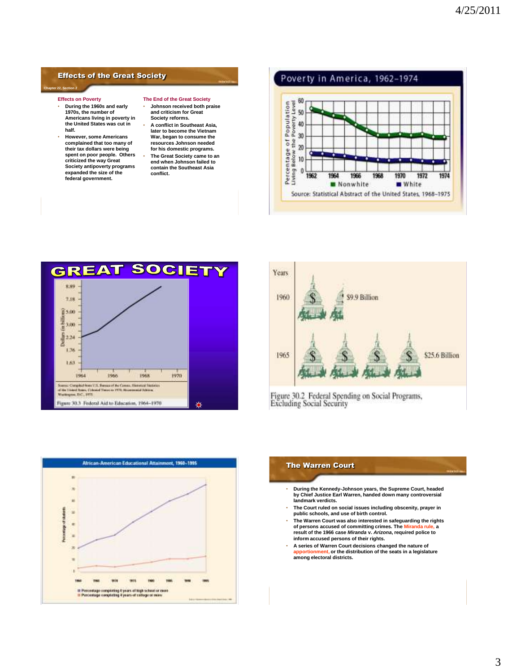### Effects of the Great Society

### **Chapter 22, Section 2**

- **Effects on Poverty**
- **During the 1960s and early 1970s, the number of Americans living in poverty in the United States was cut in half.**
- **However, some Americans complained that too many of their tax dollars were being spent on poor people. Others criticized the way Great Society antipoverty programs expanded the size of the federal government.**

### **The End of the Great Society**

- **Johnson received both praise and criticism for Great Society reforms.**
- **A conflict in Southeast Asia, later to become the Vietnam War, began to consume the resources Johnson needed for his domestic programs.** • **The Great Society came to an end when Johnson failed to contain the Southeast Asia conflict.**







Figure 30.2 Federal Spending on Social Programs,<br>Excluding Social Security



### The Warren Court

- **During the Kennedy-Johnson years, the Supreme Court, headed by Chief Justice Earl Warren, handed down many controversial landmark verdicts.**
- **The Court ruled on social issues including obscenity, prayer in public schools, and use of birth control.**
- **The Warren Court was also interested in safeguarding the rights of persons accused of committing crimes. The Miranda rule, a result of the 1966 case** *Miranda* **v.** *Arizona***, required police to inform accused persons of their rights.**
- **A series of Warren Court decisions changed the nature of apportionment, or the distribution of the seats in a legislature among electoral districts.**